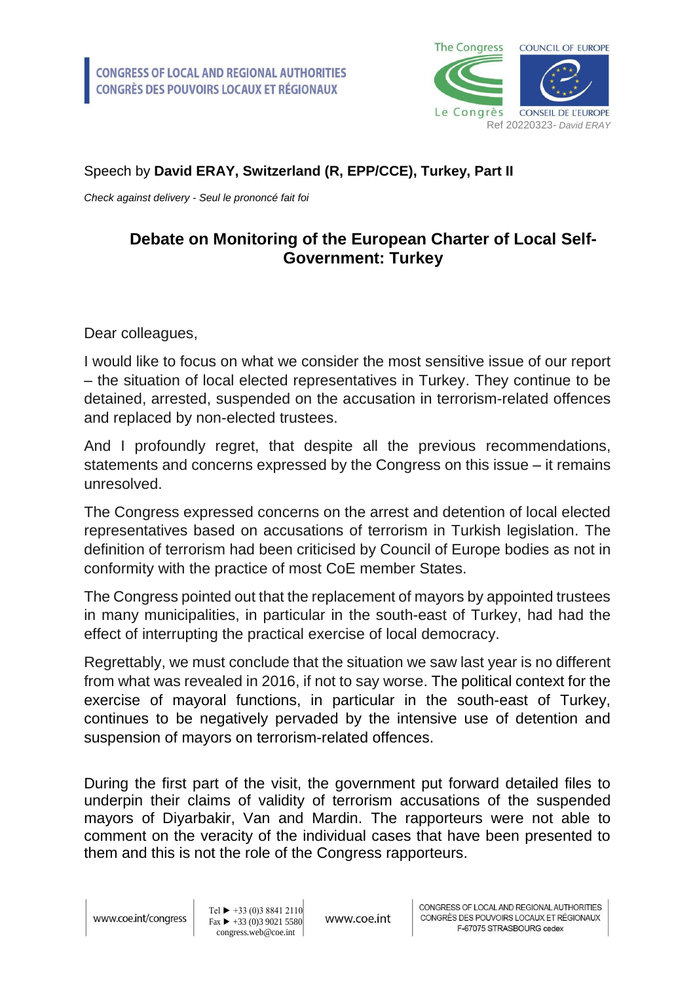

## Speech by **David ERAY, Switzerland (R, EPP/CCE), Turkey, Part II**

*Check against delivery - Seul le prononcé fait foi*

## **Debate on Monitoring of the European Charter of Local Self-Government: Turkey**

Dear colleagues,

I would like to focus on what we consider the most sensitive issue of our report – the situation of local elected representatives in Turkey. They continue to be detained, arrested, suspended on the accusation in terrorism-related offences and replaced by non-elected trustees.

And I profoundly regret, that despite all the previous recommendations, statements and concerns expressed by the Congress on this issue – it remains unresolved.

The Congress expressed concerns on the arrest and detention of local elected representatives based on accusations of terrorism in Turkish legislation. The definition of terrorism had been criticised by Council of Europe bodies as not in conformity with the practice of most CoE member States.

The Congress pointed out that the replacement of mayors by appointed trustees in many municipalities, in particular in the south-east of Turkey, had had the effect of interrupting the practical exercise of local democracy.

Regrettably, we must conclude that the situation we saw last year is no different from what was revealed in 2016, if not to say worse. The political context for the exercise of mayoral functions, in particular in the south-east of Turkey, continues to be negatively pervaded by the intensive use of detention and suspension of mayors on terrorism-related offences.

During the first part of the visit, the government put forward detailed files to underpin their claims of validity of terrorism accusations of the suspended mayors of Diyarbakir, Van and Mardin. The rapporteurs were not able to comment on the veracity of the individual cases that have been presented to them and this is not the role of the Congress rapporteurs.

Tel  $\blacktriangleright$  +33 (0)3 8841 2110  $\text{Fax} \rightarrow 433(0)390215580$ congress.web@coe.int

www.coe.int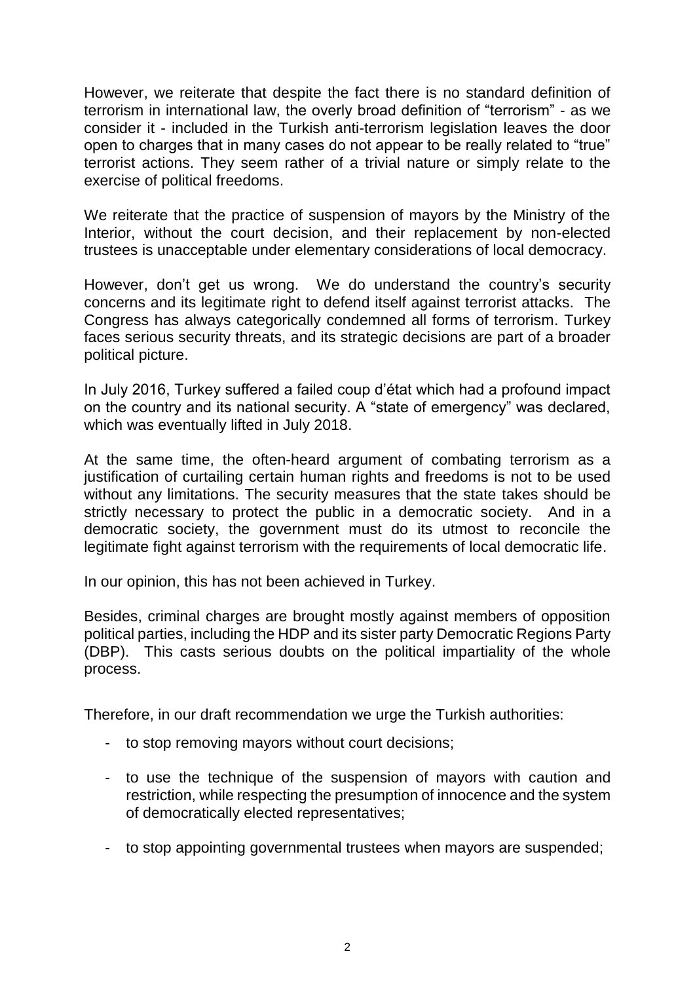However, we reiterate that despite the fact there is no standard definition of terrorism in international law, the overly broad definition of "terrorism" - as we consider it - included in the Turkish anti-terrorism legislation leaves the door open to charges that in many cases do not appear to be really related to "true" terrorist actions. They seem rather of a trivial nature or simply relate to the exercise of political freedoms.

We reiterate that the practice of suspension of mayors by the Ministry of the Interior, without the court decision, and their replacement by non-elected trustees is unacceptable under elementary considerations of local democracy.

However, don't get us wrong. We do understand the country's security concerns and its legitimate right to defend itself against terrorist attacks. The Congress has always categorically condemned all forms of terrorism. Turkey faces serious security threats, and its strategic decisions are part of a broader political picture.

In July 2016, Turkey suffered a failed coup d'état which had a profound impact on the country and its national security. A "state of emergency" was declared, which was eventually lifted in July 2018.

At the same time, the often-heard argument of combating terrorism as a justification of curtailing certain human rights and freedoms is not to be used without any limitations. The security measures that the state takes should be strictly necessary to protect the public in a democratic society. And in a democratic society, the government must do its utmost to reconcile the legitimate fight against terrorism with the requirements of local democratic life.

In our opinion, this has not been achieved in Turkey.

Besides, criminal charges are brought mostly against members of opposition political parties, including the HDP and its sister party Democratic Regions Party (DBP). This casts serious doubts on the political impartiality of the whole process.

Therefore, in our draft recommendation we urge the Turkish authorities:

- to stop removing mayors without court decisions;
- to use the technique of the suspension of mayors with caution and restriction, while respecting the presumption of innocence and the system of democratically elected representatives;
- to stop appointing governmental trustees when mayors are suspended;